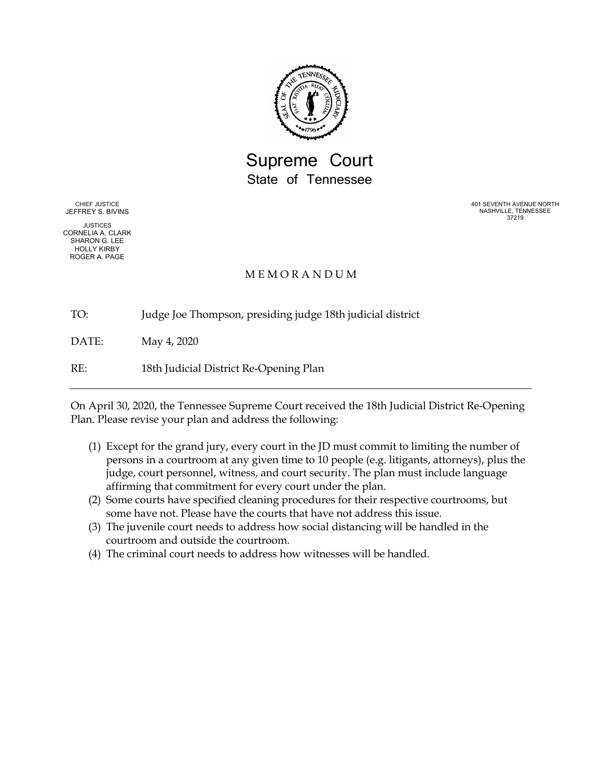

Supreme Court State of Tennessee

CHIEF JUSTICE JEFFREY S. BIVINS

JUSTICES CORNELIA A. CLARK SHARON G. LEE HOLLY KIRBY ROGER A. PAGE

401 SEVENTH AVENUE NORTH NASHVILLE, TENNESSEE 37219

## M E M O R A N D U M

TO: Judge Joe Thompson, presiding judge 18th judicial district

DATE: May 4, 2020

RE: 18th Judicial District Re-Opening Plan

On April 30, 2020, the Tennessee Supreme Court received the 18th Judicial District Re-Opening Plan. Please revise your plan and address the following:

- (1) Except for the grand jury, every court in the JD must commit to limiting the number of persons in a courtroom at any given time to 10 people (e.g. litigants, attorneys), plus the judge, court personnel, witness, and court security. The plan must include language affirming that commitment for every court under the plan.
- (2) Some courts have specified cleaning procedures for their respective courtrooms, but some have not. Please have the courts that have not address this issue.
- (3) The juvenile court needs to address how social distancing will be handled in the courtroom and outside the courtroom.
- (4) The criminal court needs to address how witnesses will be handled.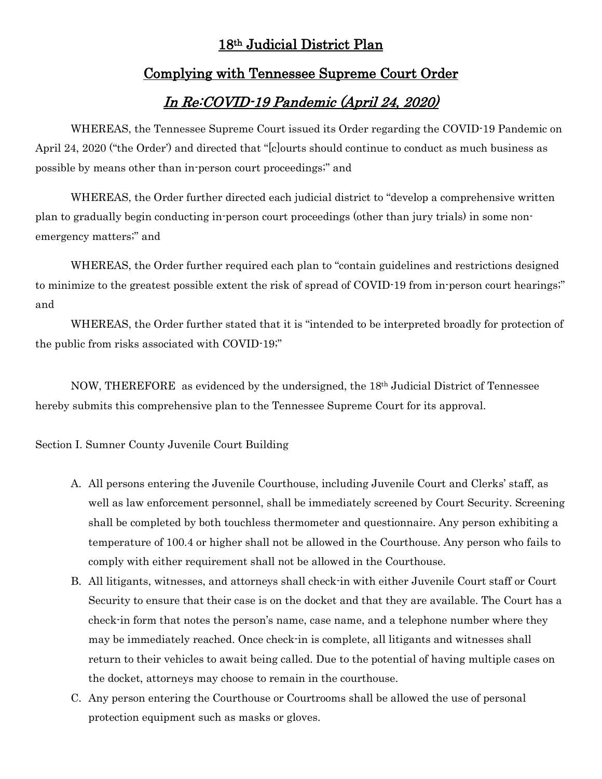# 18th Judicial District Plan

## Complying with Tennessee Supreme Court Order

# In Re:COVID-19 Pandemic (April 24, 2020)

WHEREAS, the Tennessee Supreme Court issued its Order regarding the COVID-19 Pandemic on April 24, 2020 ("the Order') and directed that "[c]ourts should continue to conduct as much business as possible by means other than in-person court proceedings;" and

WHEREAS, the Order further directed each judicial district to "develop a comprehensive written plan to gradually begin conducting in-person court proceedings (other than jury trials) in some nonemergency matters;" and

WHEREAS, the Order further required each plan to "contain guidelines and restrictions designed to minimize to the greatest possible extent the risk of spread of COVID-19 from in-person court hearings;" and

WHEREAS, the Order further stated that it is "intended to be interpreted broadly for protection of the public from risks associated with COVID-19;"

NOW, THEREFORE as evidenced by the undersigned, the 18th Judicial District of Tennessee hereby submits this comprehensive plan to the Tennessee Supreme Court for its approval.

Section I. Sumner County Juvenile Court Building

- A. All persons entering the Juvenile Courthouse, including Juvenile Court and Clerks' staff, as well as law enforcement personnel, shall be immediately screened by Court Security. Screening shall be completed by both touchless thermometer and questionnaire. Any person exhibiting a temperature of 100.4 or higher shall not be allowed in the Courthouse. Any person who fails to comply with either requirement shall not be allowed in the Courthouse.
- B. All litigants, witnesses, and attorneys shall check-in with either Juvenile Court staff or Court Security to ensure that their case is on the docket and that they are available. The Court has a check-in form that notes the person's name, case name, and a telephone number where they may be immediately reached. Once check-in is complete, all litigants and witnesses shall return to their vehicles to await being called. Due to the potential of having multiple cases on the docket, attorneys may choose to remain in the courthouse.
- C. Any person entering the Courthouse or Courtrooms shall be allowed the use of personal protection equipment such as masks or gloves.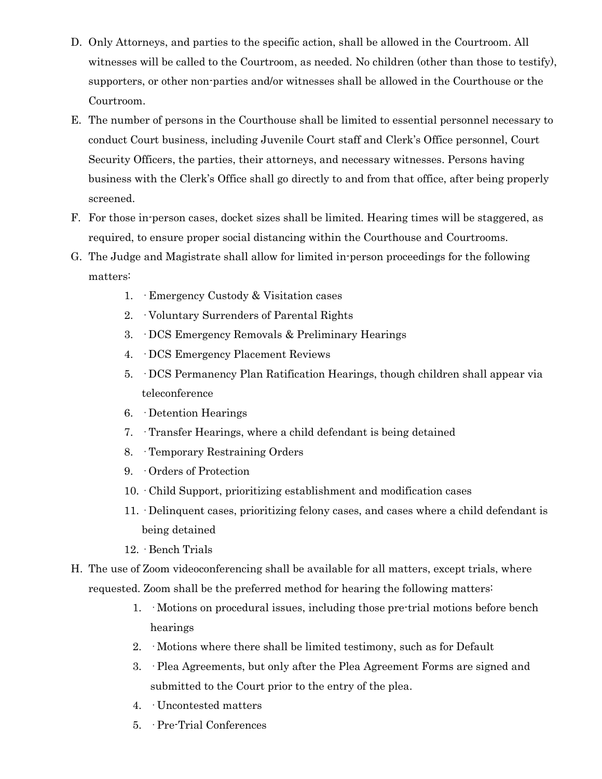- D. Only Attorneys, and parties to the specific action, shall be allowed in the Courtroom. All witnesses will be called to the Courtroom, as needed. No children (other than those to testify), supporters, or other non-parties and/or witnesses shall be allowed in the Courthouse or the Courtroom.
- E. The number of persons in the Courthouse shall be limited to essential personnel necessary to conduct Court business, including Juvenile Court staff and Clerk's Office personnel, Court Security Officers, the parties, their attorneys, and necessary witnesses. Persons having business with the Clerk's Office shall go directly to and from that office, after being properly screened.
- F. For those in-person cases, docket sizes shall be limited. Hearing times will be staggered, as required, to ensure proper social distancing within the Courthouse and Courtrooms.
- G. The Judge and Magistrate shall allow for limited in-person proceedings for the following matters:
	- 1. · Emergency Custody & Visitation cases
	- 2. · Voluntary Surrenders of Parental Rights
	- 3. · DCS Emergency Removals & Preliminary Hearings
	- 4. · DCS Emergency Placement Reviews
	- 5. · DCS Permanency Plan Ratification Hearings, though children shall appear via teleconference
	- 6. · Detention Hearings
	- 7. · Transfer Hearings, where a child defendant is being detained
	- 8. · Temporary Restraining Orders
	- 9. · Orders of Protection
	- 10. · Child Support, prioritizing establishment and modification cases
	- 11. · Delinquent cases, prioritizing felony cases, and cases where a child defendant is being detained
	- 12. · Bench Trials
- H. The use of Zoom videoconferencing shall be available for all matters, except trials, where requested. Zoom shall be the preferred method for hearing the following matters:
	- 1. · Motions on procedural issues, including those pre-trial motions before bench hearings
	- 2. · Motions where there shall be limited testimony, such as for Default
	- 3. · Plea Agreements, but only after the Plea Agreement Forms are signed and submitted to the Court prior to the entry of the plea.
	- 4. · Uncontested matters
	- 5. · Pre-Trial Conferences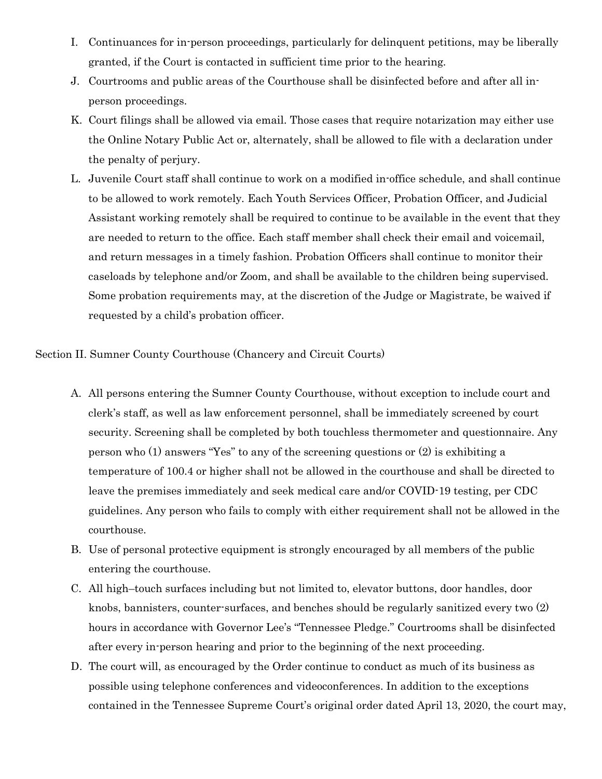- I. Continuances for in-person proceedings, particularly for delinquent petitions, may be liberally granted, if the Court is contacted in sufficient time prior to the hearing.
- J. Courtrooms and public areas of the Courthouse shall be disinfected before and after all inperson proceedings.
- K. Court filings shall be allowed via email. Those cases that require notarization may either use the Online Notary Public Act or, alternately, shall be allowed to file with a declaration under the penalty of perjury.
- L. Juvenile Court staff shall continue to work on a modified in-office schedule, and shall continue to be allowed to work remotely. Each Youth Services Officer, Probation Officer, and Judicial Assistant working remotely shall be required to continue to be available in the event that they are needed to return to the office. Each staff member shall check their email and voicemail, and return messages in a timely fashion. Probation Officers shall continue to monitor their caseloads by telephone and/or Zoom, and shall be available to the children being supervised. Some probation requirements may, at the discretion of the Judge or Magistrate, be waived if requested by a child's probation officer.

Section II. Sumner County Courthouse (Chancery and Circuit Courts)

- A. All persons entering the Sumner County Courthouse, without exception to include court and clerk's staff, as well as law enforcement personnel, shall be immediately screened by court security. Screening shall be completed by both touchless thermometer and questionnaire. Any person who (1) answers "Yes" to any of the screening questions or (2) is exhibiting a temperature of 100.4 or higher shall not be allowed in the courthouse and shall be directed to leave the premises immediately and seek medical care and/or COVID-19 testing, per CDC guidelines. Any person who fails to comply with either requirement shall not be allowed in the courthouse.
- B. Use of personal protective equipment is strongly encouraged by all members of the public entering the courthouse.
- C. All high–touch surfaces including but not limited to, elevator buttons, door handles, door knobs, bannisters, counter-surfaces, and benches should be regularly sanitized every two (2) hours in accordance with Governor Lee's "Tennessee Pledge." Courtrooms shall be disinfected after every in-person hearing and prior to the beginning of the next proceeding.
- D. The court will, as encouraged by the Order continue to conduct as much of its business as possible using telephone conferences and videoconferences. In addition to the exceptions contained in the Tennessee Supreme Court's original order dated April 13, 2020, the court may,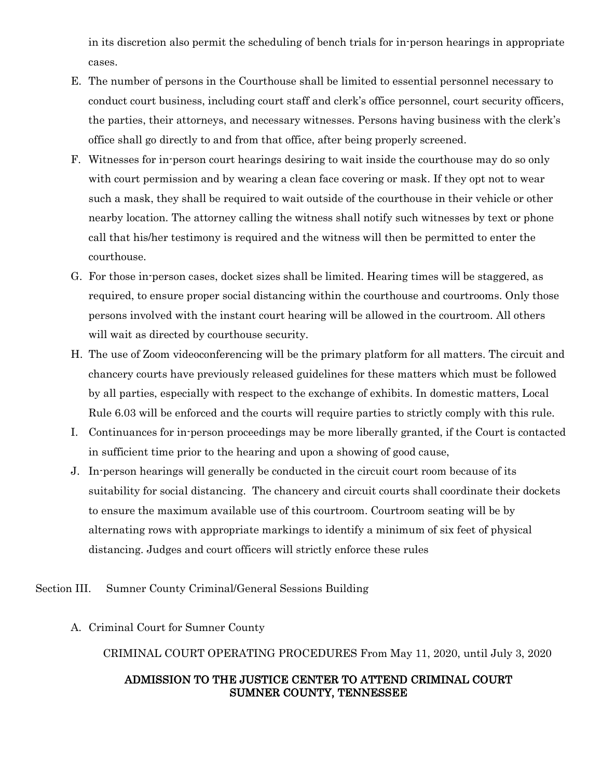in its discretion also permit the scheduling of bench trials for in-person hearings in appropriate cases.

- E. The number of persons in the Courthouse shall be limited to essential personnel necessary to conduct court business, including court staff and clerk's office personnel, court security officers, the parties, their attorneys, and necessary witnesses. Persons having business with the clerk's office shall go directly to and from that office, after being properly screened.
- F. Witnesses for in-person court hearings desiring to wait inside the courthouse may do so only with court permission and by wearing a clean face covering or mask. If they opt not to wear such a mask, they shall be required to wait outside of the courthouse in their vehicle or other nearby location. The attorney calling the witness shall notify such witnesses by text or phone call that his/her testimony is required and the witness will then be permitted to enter the courthouse.
- G. For those in-person cases, docket sizes shall be limited. Hearing times will be staggered, as required, to ensure proper social distancing within the courthouse and courtrooms. Only those persons involved with the instant court hearing will be allowed in the courtroom. All others will wait as directed by courthouse security.
- H. The use of Zoom videoconferencing will be the primary platform for all matters. The circuit and chancery courts have previously released guidelines for these matters which must be followed by all parties, especially with respect to the exchange of exhibits. In domestic matters, Local Rule 6.03 will be enforced and the courts will require parties to strictly comply with this rule.
- I. Continuances for in-person proceedings may be more liberally granted, if the Court is contacted in sufficient time prior to the hearing and upon a showing of good cause,
- J. In-person hearings will generally be conducted in the circuit court room because of its suitability for social distancing. The chancery and circuit courts shall coordinate their dockets to ensure the maximum available use of this courtroom. Courtroom seating will be by alternating rows with appropriate markings to identify a minimum of six feet of physical distancing. Judges and court officers will strictly enforce these rules

## Section III. Sumner County Criminal/General Sessions Building

A. Criminal Court for Sumner County

CRIMINAL COURT OPERATING PROCEDURES From May 11, 2020, until July 3, 2020

## ADMISSION TO THE JUSTICE CENTER TO ATTEND CRIMINAL COURT SUMNER COUNTY, TENNESSEE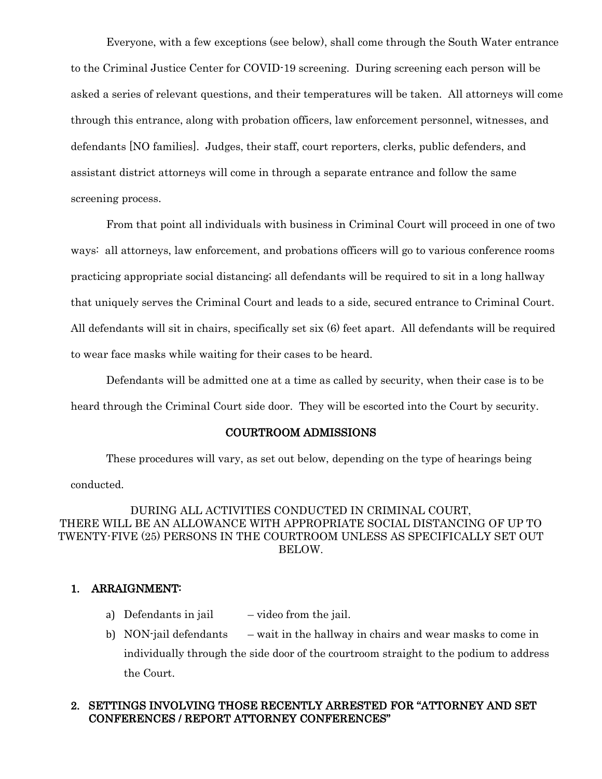Everyone, with a few exceptions (see below), shall come through the South Water entrance to the Criminal Justice Center for COVID-19 screening. During screening each person will be asked a series of relevant questions, and their temperatures will be taken. All attorneys will come through this entrance, along with probation officers, law enforcement personnel, witnesses, and defendants [NO families]. Judges, their staff, court reporters, clerks, public defenders, and assistant district attorneys will come in through a separate entrance and follow the same screening process.

From that point all individuals with business in Criminal Court will proceed in one of two ways: all attorneys, law enforcement, and probations officers will go to various conference rooms practicing appropriate social distancing; all defendants will be required to sit in a long hallway that uniquely serves the Criminal Court and leads to a side, secured entrance to Criminal Court. All defendants will sit in chairs, specifically set six (6) feet apart. All defendants will be required to wear face masks while waiting for their cases to be heard.

Defendants will be admitted one at a time as called by security, when their case is to be heard through the Criminal Court side door. They will be escorted into the Court by security.

#### COURTROOM ADMISSIONS

These procedures will vary, as set out below, depending on the type of hearings being conducted.

DURING ALL ACTIVITIES CONDUCTED IN CRIMINAL COURT, THERE WILL BE AN ALLOWANCE WITH APPROPRIATE SOCIAL DISTANCING OF UP TO TWENTY-FIVE (25) PERSONS IN THE COURTROOM UNLESS AS SPECIFICALLY SET OUT BELOW.

#### 1. ARRAIGNMENT:

- a) Defendants in jail  $-$  video from the jail.
- b) NON-jail defendants wait in the hallway in chairs and wear masks to come in individually through the side door of the courtroom straight to the podium to address the Court.

### 2. SETTINGS INVOLVING THOSE RECENTLY ARRESTED FOR "ATTORNEY AND SET CONFERENCES / REPORT ATTORNEY CONFERENCES"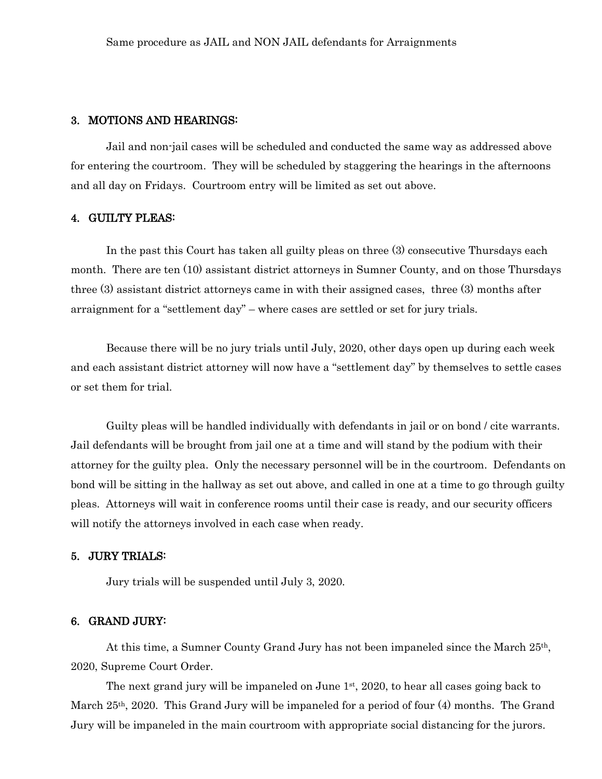#### 3. MOTIONS AND HEARINGS:

Jail and non-jail cases will be scheduled and conducted the same way as addressed above for entering the courtroom. They will be scheduled by staggering the hearings in the afternoons and all day on Fridays. Courtroom entry will be limited as set out above.

#### 4. GUILTY PLEAS:

In the past this Court has taken all guilty pleas on three (3) consecutive Thursdays each month. There are ten (10) assistant district attorneys in Sumner County, and on those Thursdays three (3) assistant district attorneys came in with their assigned cases, three (3) months after arraignment for a "settlement day" – where cases are settled or set for jury trials.

Because there will be no jury trials until July, 2020, other days open up during each week and each assistant district attorney will now have a "settlement day" by themselves to settle cases or set them for trial.

Guilty pleas will be handled individually with defendants in jail or on bond / cite warrants. Jail defendants will be brought from jail one at a time and will stand by the podium with their attorney for the guilty plea. Only the necessary personnel will be in the courtroom. Defendants on bond will be sitting in the hallway as set out above, and called in one at a time to go through guilty pleas. Attorneys will wait in conference rooms until their case is ready, and our security officers will notify the attorneys involved in each case when ready.

#### 5. JURY TRIALS:

Jury trials will be suspended until July 3, 2020.

#### 6. GRAND JURY:

At this time, a Sumner County Grand Jury has not been impaneled since the March 25th, 2020, Supreme Court Order.

The next grand jury will be impaneled on June 1<sup>st</sup>, 2020, to hear all cases going back to March 25th, 2020. This Grand Jury will be impaneled for a period of four (4) months. The Grand Jury will be impaneled in the main courtroom with appropriate social distancing for the jurors.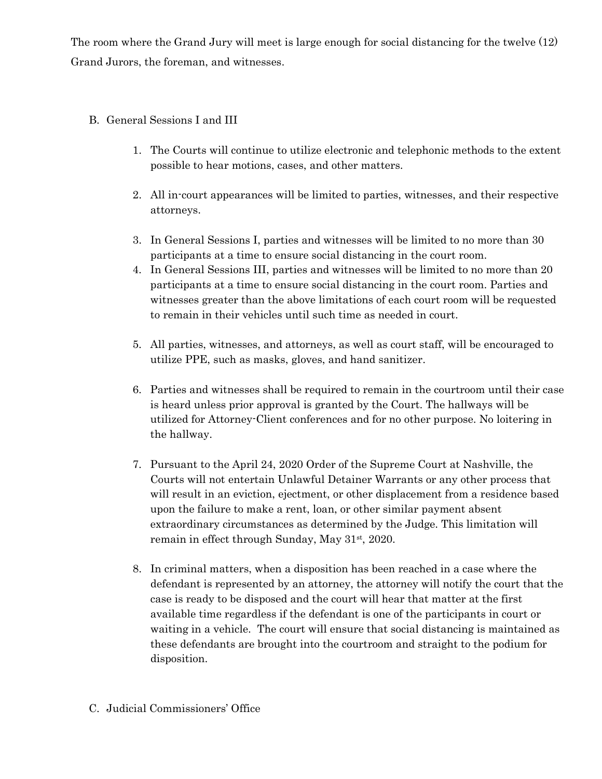The room where the Grand Jury will meet is large enough for social distancing for the twelve (12) Grand Jurors, the foreman, and witnesses.

## B. General Sessions I and III

- 1. The Courts will continue to utilize electronic and telephonic methods to the extent possible to hear motions, cases, and other matters.
- 2. All in-court appearances will be limited to parties, witnesses, and their respective attorneys.
- 3. In General Sessions I, parties and witnesses will be limited to no more than 30 participants at a time to ensure social distancing in the court room.
- 4. In General Sessions III, parties and witnesses will be limited to no more than 20 participants at a time to ensure social distancing in the court room. Parties and witnesses greater than the above limitations of each court room will be requested to remain in their vehicles until such time as needed in court.
- 5. All parties, witnesses, and attorneys, as well as court staff, will be encouraged to utilize PPE, such as masks, gloves, and hand sanitizer.
- 6. Parties and witnesses shall be required to remain in the courtroom until their case is heard unless prior approval is granted by the Court. The hallways will be utilized for Attorney-Client conferences and for no other purpose. No loitering in the hallway.
- 7. Pursuant to the April 24, 2020 Order of the Supreme Court at Nashville, the Courts will not entertain Unlawful Detainer Warrants or any other process that will result in an eviction, ejectment, or other displacement from a residence based upon the failure to make a rent, loan, or other similar payment absent extraordinary circumstances as determined by the Judge. This limitation will remain in effect through Sunday, May 31<sup>st</sup>, 2020.
- 8. In criminal matters, when a disposition has been reached in a case where the defendant is represented by an attorney, the attorney will notify the court that the case is ready to be disposed and the court will hear that matter at the first available time regardless if the defendant is one of the participants in court or waiting in a vehicle. The court will ensure that social distancing is maintained as these defendants are brought into the courtroom and straight to the podium for disposition.

## C. Judicial Commissioners' Office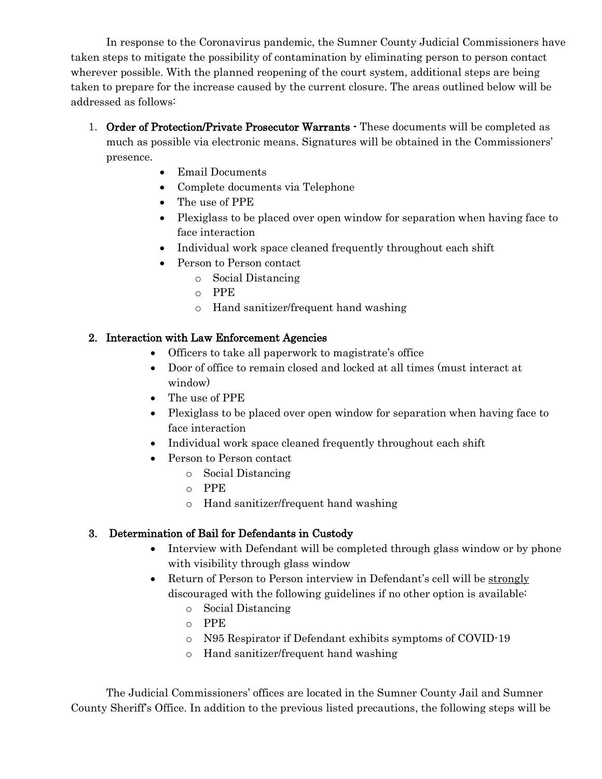In response to the Coronavirus pandemic, the Sumner County Judicial Commissioners have taken steps to mitigate the possibility of contamination by eliminating person to person contact wherever possible. With the planned reopening of the court system, additional steps are being taken to prepare for the increase caused by the current closure. The areas outlined below will be addressed as follows:

- 1. Order of Protection/Private Prosecutor Warrants These documents will be completed as much as possible via electronic means. Signatures will be obtained in the Commissioners' presence.
	- Email Documents
	- Complete documents via Telephone
	- The use of PPE
	- Plexiglass to be placed over open window for separation when having face to face interaction
	- Individual work space cleaned frequently throughout each shift
	- Person to Person contact
		- o Social Distancing
		- o PPE
		- o Hand sanitizer/frequent hand washing

## 2. Interaction with Law Enforcement Agencies

- Officers to take all paperwork to magistrate's office
- Door of office to remain closed and locked at all times (must interact at window)
- The use of PPE
- Plexiglass to be placed over open window for separation when having face to face interaction
- Individual work space cleaned frequently throughout each shift
- Person to Person contact
	- o Social Distancing
	- o PPE
	- o Hand sanitizer/frequent hand washing

## 3. Determination of Bail for Defendants in Custody

- Interview with Defendant will be completed through glass window or by phone with visibility through glass window
- Return of Person to Person interview in Defendant's cell will be strongly discouraged with the following guidelines if no other option is available:
	- o Social Distancing
	- o PPE
	- o N95 Respirator if Defendant exhibits symptoms of COVID-19
	- o Hand sanitizer/frequent hand washing

The Judicial Commissioners' offices are located in the Sumner County Jail and Sumner County Sheriff's Office. In addition to the previous listed precautions, the following steps will be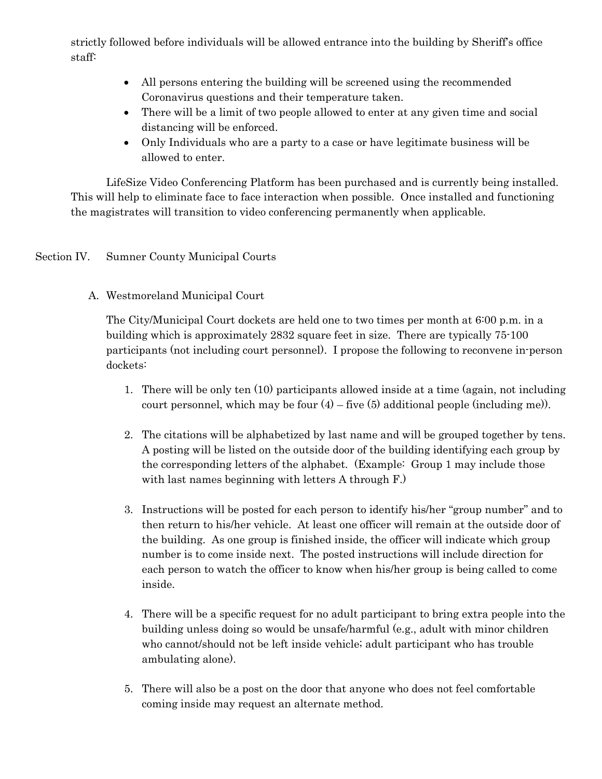strictly followed before individuals will be allowed entrance into the building by Sheriff's office staff:

- All persons entering the building will be screened using the recommended Coronavirus questions and their temperature taken.
- There will be a limit of two people allowed to enter at any given time and social distancing will be enforced.
- Only Individuals who are a party to a case or have legitimate business will be allowed to enter.

LifeSize Video Conferencing Platform has been purchased and is currently being installed. This will help to eliminate face to face interaction when possible. Once installed and functioning the magistrates will transition to video conferencing permanently when applicable.

## Section IV. Sumner County Municipal Courts

A. Westmoreland Municipal Court

The City/Municipal Court dockets are held one to two times per month at 6:00 p.m. in a building which is approximately 2832 square feet in size. There are typically 75-100 participants (not including court personnel). I propose the following to reconvene in-person dockets:

- 1. There will be only ten (10) participants allowed inside at a time (again, not including court personnel, which may be four  $(4)$  – five  $(5)$  additional people (including me)).
- 2. The citations will be alphabetized by last name and will be grouped together by tens. A posting will be listed on the outside door of the building identifying each group by the corresponding letters of the alphabet. (Example: Group 1 may include those with last names beginning with letters A through F.)
- 3. Instructions will be posted for each person to identify his/her "group number" and to then return to his/her vehicle. At least one officer will remain at the outside door of the building. As one group is finished inside, the officer will indicate which group number is to come inside next. The posted instructions will include direction for each person to watch the officer to know when his/her group is being called to come inside.
- 4. There will be a specific request for no adult participant to bring extra people into the building unless doing so would be unsafe/harmful (e.g., adult with minor children who cannot/should not be left inside vehicle; adult participant who has trouble ambulating alone).
- 5. There will also be a post on the door that anyone who does not feel comfortable coming inside may request an alternate method.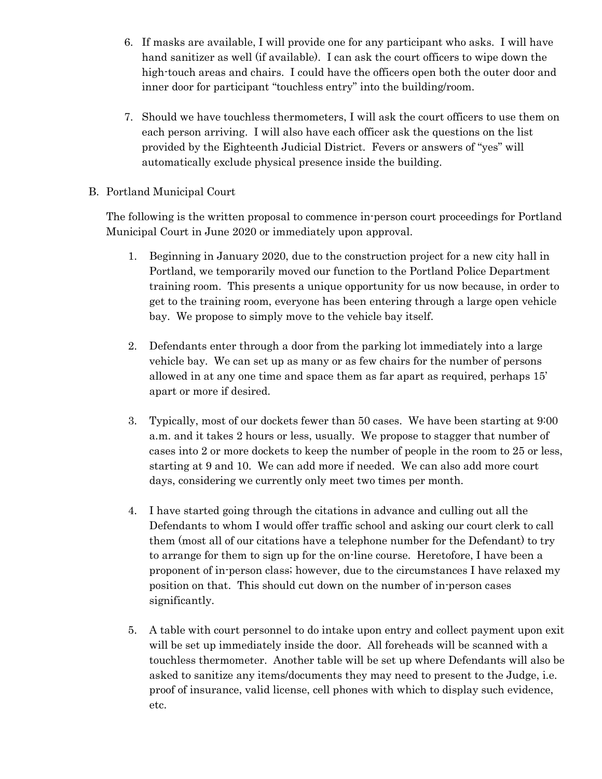- 6. If masks are available, I will provide one for any participant who asks. I will have hand sanitizer as well (if available). I can ask the court officers to wipe down the high-touch areas and chairs. I could have the officers open both the outer door and inner door for participant "touchless entry" into the building/room.
- 7. Should we have touchless thermometers, I will ask the court officers to use them on each person arriving. I will also have each officer ask the questions on the list provided by the Eighteenth Judicial District. Fevers or answers of "yes" will automatically exclude physical presence inside the building.
- B. Portland Municipal Court

The following is the written proposal to commence in-person court proceedings for Portland Municipal Court in June 2020 or immediately upon approval.

- 1. Beginning in January 2020, due to the construction project for a new city hall in Portland, we temporarily moved our function to the Portland Police Department training room. This presents a unique opportunity for us now because, in order to get to the training room, everyone has been entering through a large open vehicle bay. We propose to simply move to the vehicle bay itself.
- 2. Defendants enter through a door from the parking lot immediately into a large vehicle bay. We can set up as many or as few chairs for the number of persons allowed in at any one time and space them as far apart as required, perhaps 15' apart or more if desired.
- 3. Typically, most of our dockets fewer than 50 cases. We have been starting at 9:00 a.m. and it takes 2 hours or less, usually. We propose to stagger that number of cases into 2 or more dockets to keep the number of people in the room to 25 or less, starting at 9 and 10. We can add more if needed. We can also add more court days, considering we currently only meet two times per month.
- 4. I have started going through the citations in advance and culling out all the Defendants to whom I would offer traffic school and asking our court clerk to call them (most all of our citations have a telephone number for the Defendant) to try to arrange for them to sign up for the on-line course. Heretofore, I have been a proponent of in-person class; however, due to the circumstances I have relaxed my position on that. This should cut down on the number of in-person cases significantly.
- 5. A table with court personnel to do intake upon entry and collect payment upon exit will be set up immediately inside the door. All foreheads will be scanned with a touchless thermometer. Another table will be set up where Defendants will also be asked to sanitize any items/documents they may need to present to the Judge, i.e. proof of insurance, valid license, cell phones with which to display such evidence, etc.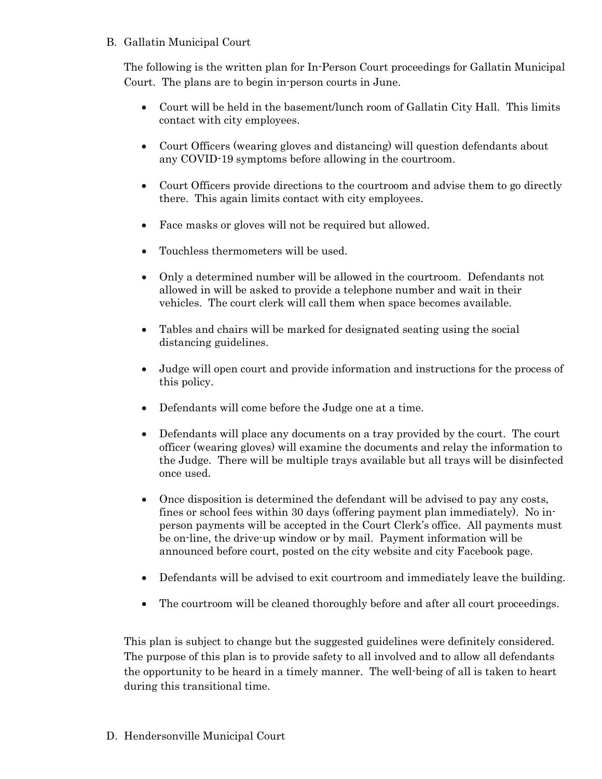## B. Gallatin Municipal Court

The following is the written plan for In-Person Court proceedings for Gallatin Municipal Court. The plans are to begin in-person courts in June.

- Court will be held in the basement/lunch room of Gallatin City Hall. This limits contact with city employees.
- Court Officers (wearing gloves and distancing) will question defendants about any COVID-19 symptoms before allowing in the courtroom.
- Court Officers provide directions to the courtroom and advise them to go directly there. This again limits contact with city employees.
- Face masks or gloves will not be required but allowed.
- Touchless thermometers will be used.
- Only a determined number will be allowed in the courtroom. Defendants not allowed in will be asked to provide a telephone number and wait in their vehicles. The court clerk will call them when space becomes available.
- Tables and chairs will be marked for designated seating using the social distancing guidelines.
- Judge will open court and provide information and instructions for the process of this policy.
- Defendants will come before the Judge one at a time.
- Defendants will place any documents on a tray provided by the court. The court officer (wearing gloves) will examine the documents and relay the information to the Judge. There will be multiple trays available but all trays will be disinfected once used.
- Once disposition is determined the defendant will be advised to pay any costs, fines or school fees within 30 days (offering payment plan immediately). No inperson payments will be accepted in the Court Clerk's office. All payments must be on-line, the drive-up window or by mail. Payment information will be announced before court, posted on the city website and city Facebook page.
- Defendants will be advised to exit courtroom and immediately leave the building.
- The courtroom will be cleaned thoroughly before and after all court proceedings.

This plan is subject to change but the suggested guidelines were definitely considered. The purpose of this plan is to provide safety to all involved and to allow all defendants the opportunity to be heard in a timely manner. The well-being of all is taken to heart during this transitional time.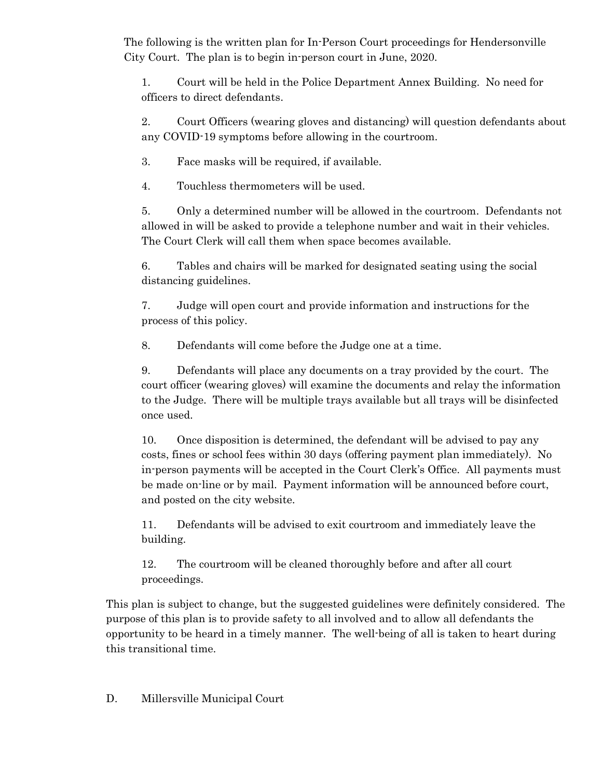The following is the written plan for In-Person Court proceedings for Hendersonville City Court. The plan is to begin in-person court in June, 2020.

1. Court will be held in the Police Department Annex Building. No need for officers to direct defendants.

2. Court Officers (wearing gloves and distancing) will question defendants about any COVID-19 symptoms before allowing in the courtroom.

3. Face masks will be required, if available.

4. Touchless thermometers will be used.

5. Only a determined number will be allowed in the courtroom. Defendants not allowed in will be asked to provide a telephone number and wait in their vehicles. The Court Clerk will call them when space becomes available.

6. Tables and chairs will be marked for designated seating using the social distancing guidelines.

7. Judge will open court and provide information and instructions for the process of this policy.

8. Defendants will come before the Judge one at a time.

9. Defendants will place any documents on a tray provided by the court. The court officer (wearing gloves) will examine the documents and relay the information to the Judge. There will be multiple trays available but all trays will be disinfected once used.

10. Once disposition is determined, the defendant will be advised to pay any costs, fines or school fees within 30 days (offering payment plan immediately). No in-person payments will be accepted in the Court Clerk's Office. All payments must be made on-line or by mail. Payment information will be announced before court, and posted on the city website.

11. Defendants will be advised to exit courtroom and immediately leave the building.

12. The courtroom will be cleaned thoroughly before and after all court proceedings.

This plan is subject to change, but the suggested guidelines were definitely considered. The purpose of this plan is to provide safety to all involved and to allow all defendants the opportunity to be heard in a timely manner. The well-being of all is taken to heart during this transitional time.

D. Millersville Municipal Court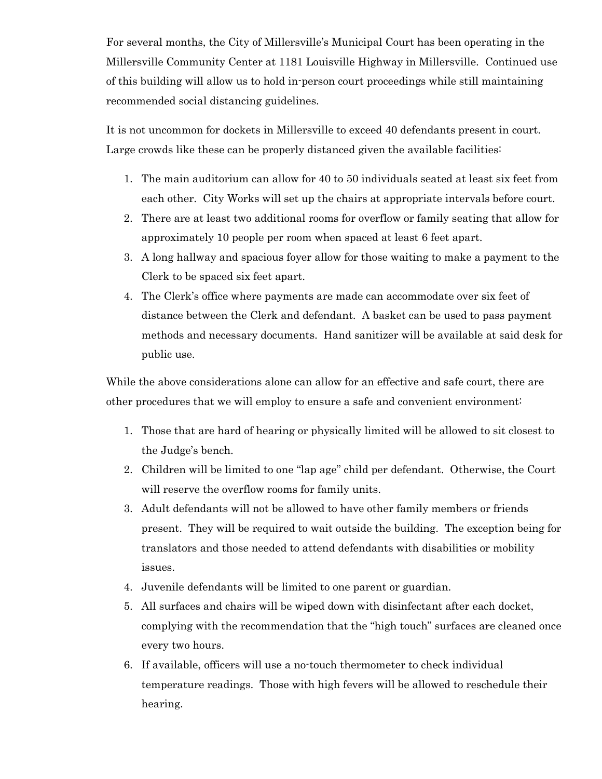For several months, the City of Millersville's Municipal Court has been operating in the Millersville Community Center at 1181 Louisville Highway in Millersville. Continued use of this building will allow us to hold in-person court proceedings while still maintaining recommended social distancing guidelines.

It is not uncommon for dockets in Millersville to exceed 40 defendants present in court. Large crowds like these can be properly distanced given the available facilities:

- 1. The main auditorium can allow for 40 to 50 individuals seated at least six feet from each other. City Works will set up the chairs at appropriate intervals before court.
- 2. There are at least two additional rooms for overflow or family seating that allow for approximately 10 people per room when spaced at least 6 feet apart.
- 3. A long hallway and spacious foyer allow for those waiting to make a payment to the Clerk to be spaced six feet apart.
- 4. The Clerk's office where payments are made can accommodate over six feet of distance between the Clerk and defendant. A basket can be used to pass payment methods and necessary documents. Hand sanitizer will be available at said desk for public use.

While the above considerations alone can allow for an effective and safe court, there are other procedures that we will employ to ensure a safe and convenient environment:

- 1. Those that are hard of hearing or physically limited will be allowed to sit closest to the Judge's bench.
- 2. Children will be limited to one "lap age" child per defendant. Otherwise, the Court will reserve the overflow rooms for family units.
- 3. Adult defendants will not be allowed to have other family members or friends present. They will be required to wait outside the building. The exception being for translators and those needed to attend defendants with disabilities or mobility issues.
- 4. Juvenile defendants will be limited to one parent or guardian.
- 5. All surfaces and chairs will be wiped down with disinfectant after each docket, complying with the recommendation that the "high touch" surfaces are cleaned once every two hours.
- 6. If available, officers will use a no-touch thermometer to check individual temperature readings. Those with high fevers will be allowed to reschedule their hearing.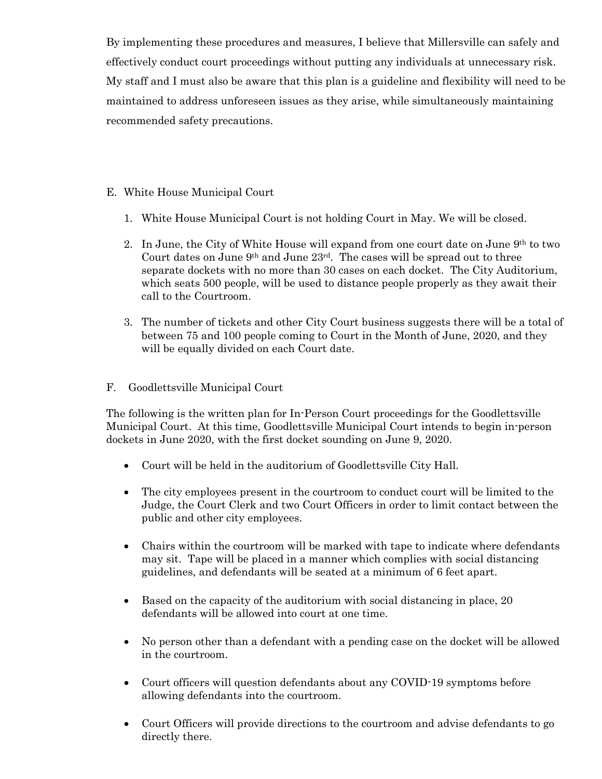By implementing these procedures and measures, I believe that Millersville can safely and effectively conduct court proceedings without putting any individuals at unnecessary risk. My staff and I must also be aware that this plan is a guideline and flexibility will need to be maintained to address unforeseen issues as they arise, while simultaneously maintaining recommended safety precautions.

## E. White House Municipal Court

- 1. White House Municipal Court is not holding Court in May. We will be closed.
- 2. In June, the City of White House will expand from one court date on June 9th to two Court dates on June 9th and June 23rd. The cases will be spread out to three separate dockets with no more than 30 cases on each docket. The City Auditorium, which seats 500 people, will be used to distance people properly as they await their call to the Courtroom.
- 3. The number of tickets and other City Court business suggests there will be a total of between 75 and 100 people coming to Court in the Month of June, 2020, and they will be equally divided on each Court date.
- F. Goodlettsville Municipal Court

The following is the written plan for In-Person Court proceedings for the Goodlettsville Municipal Court. At this time, Goodlettsville Municipal Court intends to begin in-person dockets in June 2020, with the first docket sounding on June 9, 2020.

- Court will be held in the auditorium of Goodlettsville City Hall.
- The city employees present in the courtroom to conduct court will be limited to the Judge, the Court Clerk and two Court Officers in order to limit contact between the public and other city employees.
- Chairs within the courtroom will be marked with tape to indicate where defendants may sit. Tape will be placed in a manner which complies with social distancing guidelines, and defendants will be seated at a minimum of 6 feet apart.
- Based on the capacity of the auditorium with social distancing in place, 20 defendants will be allowed into court at one time.
- No person other than a defendant with a pending case on the docket will be allowed in the courtroom.
- Court officers will question defendants about any COVID-19 symptoms before allowing defendants into the courtroom.
- Court Officers will provide directions to the courtroom and advise defendants to go directly there.